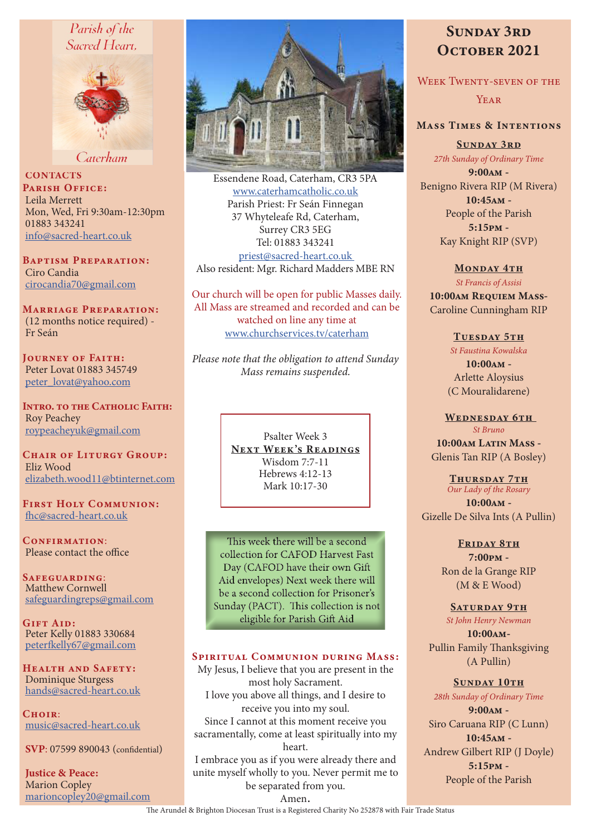# Parish of the Sacred Heart,



Caterham

**CONTACTS** PARISH OFFICE: Leila Merrett Mon, Wed, Fri 9:30am-12:30pm 01883 343241 info@sacred-heart.co.uk

Baptism Preparation: Ciro Candia cirocandia70@gmail.com

Marriage Preparation: (12 months notice required) - Fr Seán

Journey of Faith: Peter Lovat 01883 345749 peter\_lovat@yahoo.com

Intro. to the Catholic Faith: Roy Peachey roypeacheyuk@gmail.com

CHAIR OF LITURGY GROUP: Eliz Wood elizabeth.wood11@btinternet.com

First Holy Communion: fhc@sacred-heart.co.uk

CONFIRMATION: Please contact the office

Safeguarding: Matthew Cornwell safeguardingreps@gmail.com

GIFT AID: Peter Kelly 01883 330684 peterfkelly67@gmail.com

HEALTH AND SAFETY: Dominique Sturgess hands@sacred-heart.co.uk

 $C$ HOIR: music@sacred-heart.co.uk

SVP: 07599 890043 (confidential)

Justice & Peace: Marion Copley marioncopley20@gmail.com



Essendene Road, Caterham, CR3 5PA www.caterhamcatholic.co.uk Parish Priest: Fr Seán Finnegan 37 Whyteleafe Rd, Caterham, Surrey CR3 5EG Tel: 01883 343241 priest@sacred-heart.co.uk Also resident: Mgr. Richard Madders MBE RN

Our church will be open for public Masses daily. All Mass are streamed and recorded and can be watched on line any time at www.churchservices.tv/caterham

*Please note that the obligation to attend Sunday Mass remains suspended.*

> Psalter Week 3 NEXT WEEK'S READINGS Wisdom 7:7-11 Hebrews 4:12-13 Mark 10:17-30

This week there will be a second collection for CAFOD Harvest Fast Day (CAFOD have their own Gift Aid envelopes) Next week there will be a second collection for Prisoner's Sunday (PACT). This collection is not eligible for Parish Gift Aid

#### SPIRITUAL COMMUNION DURING MASS:

My Jesus, I believe that you are present in the most holy Sacrament. I love you above all things, and I desire to receive you into my soul. Since I cannot at this moment receive you sacramentally, come at least spiritually into my heart. I embrace you as if you were already there and unite myself wholly to you. Never permit me to be separated from you.

# SUNDAY 3RD OCTOBER 2021

Week Twenty-seven of the **YEAR** 

# Mass Times & Intentions

SUNDAY 3RD *27th Sunday of Ordinary Time*

9:00am - Benigno Rivera RIP (M Rivera) 10:45am - People of the Parish 5:15pm - Kay Knight RIP (SVP)

# MONDAY 4TH

*St Francis of Assisi*

10:00am Requiem Mass-Caroline Cunningham RIP

TUESDAY 5TH

*St Faustina Kowalska*  $10:00$  $\Delta M -$ 

Arlette Aloysius (C Mouralidarene)

WEDNESDAY 6TH *St Bruno* 10:00am Latin Mass -Glenis Tan RIP (A Bosley)

> Thursday 7th *Our Lady of the Rosary*

10:00am - Gizelle De Silva Ints (A Pullin)

> FRIDAY 8TH 7:00pm - Ron de la Grange RIP (M & E Wood)

#### SATURDAY 9TH

*St John Henry Newman*

10:00am-Pullin Family Thanksgiving (A Pullin)

SUNDAY 10TH *28th Sunday of Ordinary Time* 9:00am - Siro Caruana RIP (C Lunn) 10:45am -

Andrew Gilbert RIP (J Doyle) 5:15pm - People of the Parish

Amen.